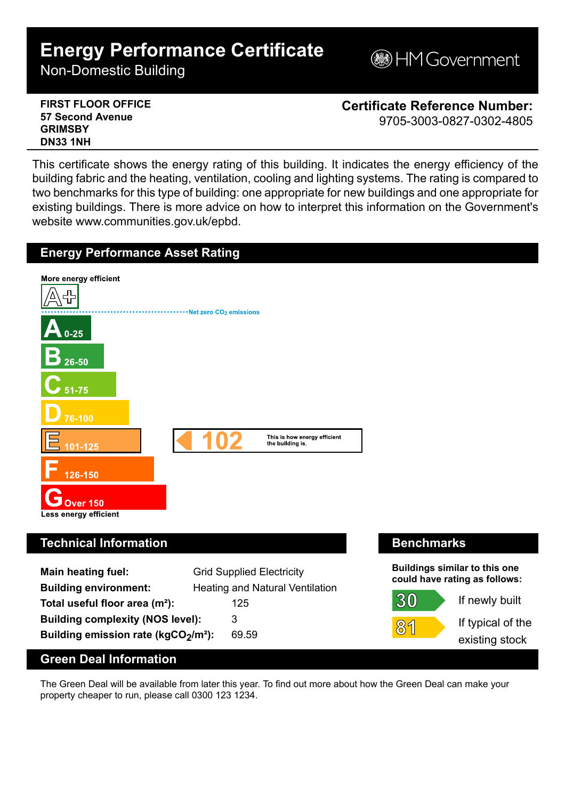# **Energy Performance Certificate**

Non-Domestic Building

**MGovernment** 

**FIRST FLOOR OFFICE 57 Second Avenue GRIMSBY DN33 1NH**

**Certificate Reference Number:** 9705-3003-0827-0302-4805

This certificate shows the energy rating of this building. It indicates the energy efficiency of the building fabric and the heating, ventilation, cooling and lighting systems. The rating is compared to two benchmarks for this type of building: one appropriate for new buildings and one appropriate for existing buildings. There is more advice on how to interpret this information on the Government's website www.communities.gov.uk/epbd.



# **Technical Information Benchmarks**

| <b>Main heating fuel:</b>                       | <b>Grid Supplied Electricity</b> |
|-------------------------------------------------|----------------------------------|
| <b>Building environment:</b>                    | Heating and Natural Ventilation  |
| Total useful floor area (m <sup>2</sup> ):      | 125                              |
| <b>Building complexity (NOS level):</b>         | 3                                |
| Building emission rate (kgCO2/m <sup>2</sup> ): | 69.59                            |

**Buildings similar to this one could have rating as follows:**



If newly built

If typical of the existing stock

## **Green Deal Information**

The Green Deal will be available from later this year. To find out more about how the Green Deal can make your property cheaper to run, please call 0300 123 1234.